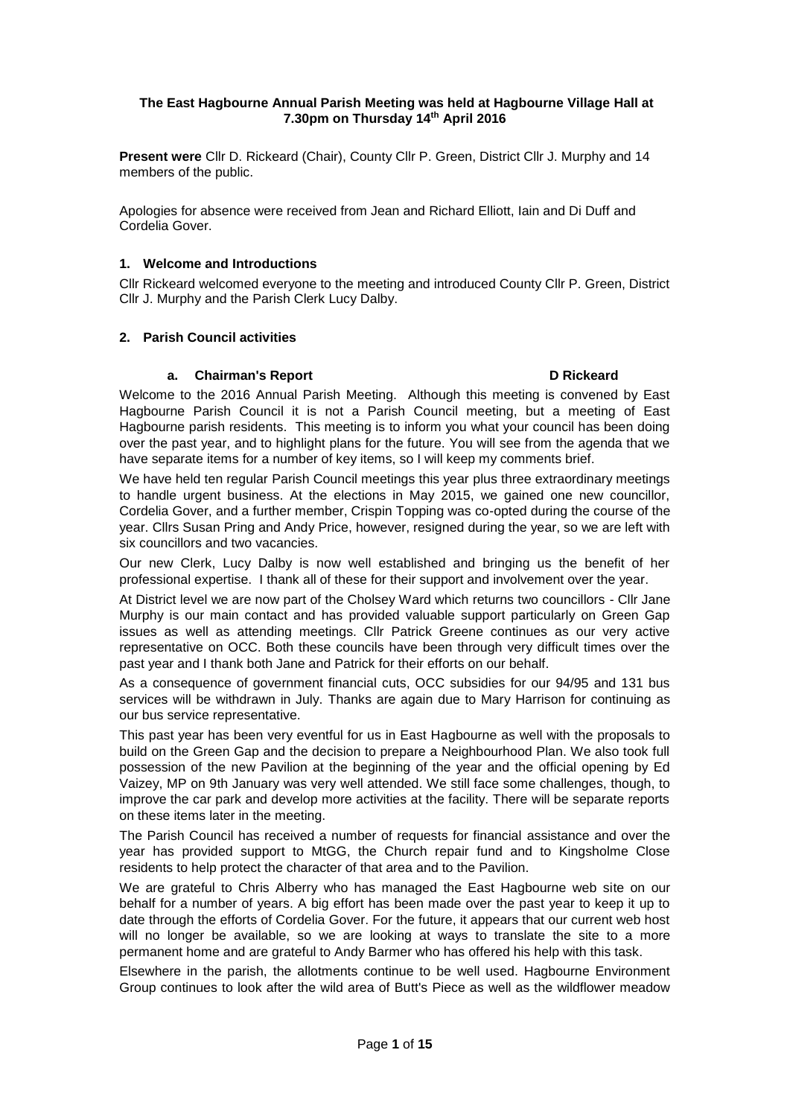# **The East Hagbourne Annual Parish Meeting was held at Hagbourne Village Hall at 7.30pm on Thursday 14th April 2016**

**Present were** Cllr D. Rickeard (Chair), County Cllr P. Green, District Cllr J. Murphy and 14 members of the public.

Apologies for absence were received from Jean and Richard Elliott, Iain and Di Duff and Cordelia Gover.

# **1. Welcome and Introductions**

Cllr Rickeard welcomed everyone to the meeting and introduced County Cllr P. Green, District Cllr J. Murphy and the Parish Clerk Lucy Dalby.

# **2. Parish Council activities**

# **a. Chairman's Report D Rickeard**

Welcome to the 2016 Annual Parish Meeting. Although this meeting is convened by East Hagbourne Parish Council it is not a Parish Council meeting, but a meeting of East Hagbourne parish residents. This meeting is to inform you what your council has been doing over the past year, and to highlight plans for the future. You will see from the agenda that we have separate items for a number of key items, so I will keep my comments brief.

We have held ten regular Parish Council meetings this year plus three extraordinary meetings to handle urgent business. At the elections in May 2015, we gained one new councillor, Cordelia Gover, and a further member, Crispin Topping was co-opted during the course of the year. Cllrs Susan Pring and Andy Price, however, resigned during the year, so we are left with six councillors and two vacancies.

Our new Clerk, Lucy Dalby is now well established and bringing us the benefit of her professional expertise. I thank all of these for their support and involvement over the year.

At District level we are now part of the Cholsey Ward which returns two councillors - Cllr Jane Murphy is our main contact and has provided valuable support particularly on Green Gap issues as well as attending meetings. Cllr Patrick Greene continues as our very active representative on OCC. Both these councils have been through very difficult times over the past year and I thank both Jane and Patrick for their efforts on our behalf.

As a consequence of government financial cuts, OCC subsidies for our 94/95 and 131 bus services will be withdrawn in July. Thanks are again due to Mary Harrison for continuing as our bus service representative.

This past year has been very eventful for us in East Hagbourne as well with the proposals to build on the Green Gap and the decision to prepare a Neighbourhood Plan. We also took full possession of the new Pavilion at the beginning of the year and the official opening by Ed Vaizey, MP on 9th January was very well attended. We still face some challenges, though, to improve the car park and develop more activities at the facility. There will be separate reports on these items later in the meeting.

The Parish Council has received a number of requests for financial assistance and over the year has provided support to MtGG, the Church repair fund and to Kingsholme Close residents to help protect the character of that area and to the Pavilion.

We are grateful to Chris Alberry who has managed the East Hagbourne web site on our behalf for a number of years. A big effort has been made over the past year to keep it up to date through the efforts of Cordelia Gover. For the future, it appears that our current web host will no longer be available, so we are looking at ways to translate the site to a more permanent home and are grateful to Andy Barmer who has offered his help with this task.

Elsewhere in the parish, the allotments continue to be well used. Hagbourne Environment Group continues to look after the wild area of Butt's Piece as well as the wildflower meadow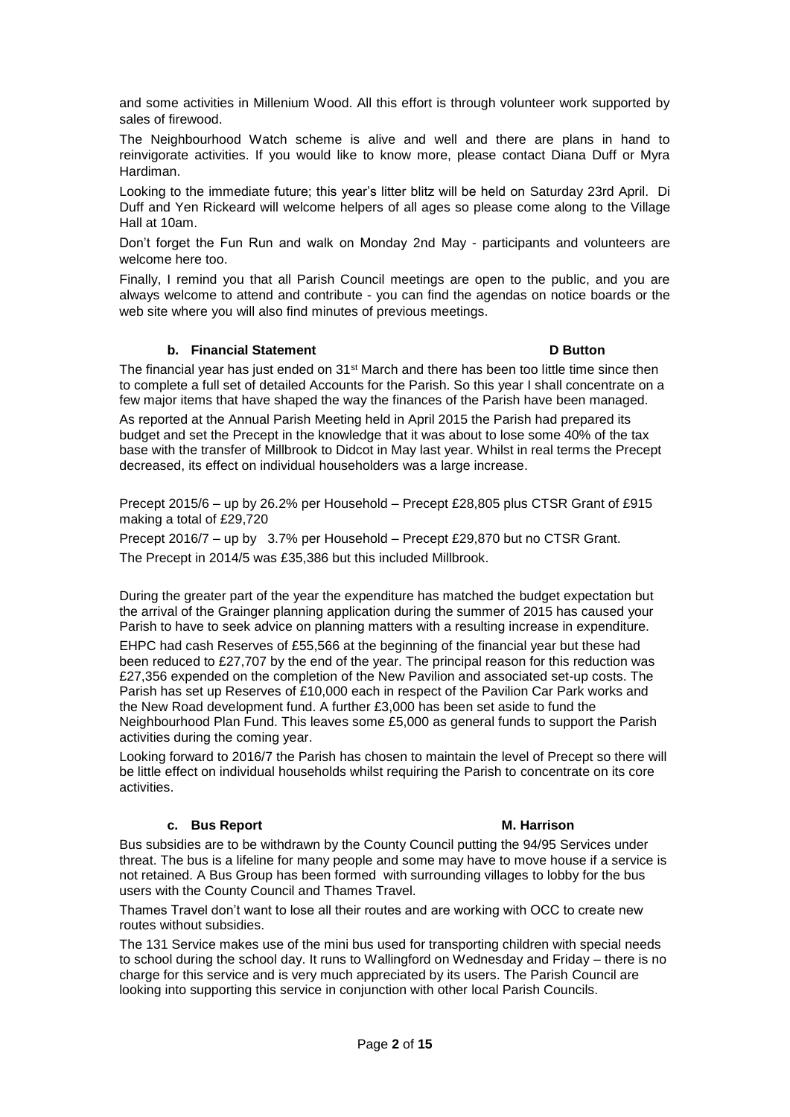and some activities in Millenium Wood. All this effort is through volunteer work supported by sales of firewood.

The Neighbourhood Watch scheme is alive and well and there are plans in hand to reinvigorate activities. If you would like to know more, please contact Diana Duff or Myra Hardiman.

Looking to the immediate future; this year's litter blitz will be held on Saturday 23rd April. Di Duff and Yen Rickeard will welcome helpers of all ages so please come along to the Village Hall at 10am.

Don't forget the Fun Run and walk on Monday 2nd May - participants and volunteers are welcome here too.

Finally, I remind you that all Parish Council meetings are open to the public, and you are always welcome to attend and contribute - you can find the agendas on notice boards or the web site where you will also find minutes of previous meetings.

# **b. Financial Statement D Button**

The financial year has just ended on 31<sup>st</sup> March and there has been too little time since then to complete a full set of detailed Accounts for the Parish. So this year I shall concentrate on a few major items that have shaped the way the finances of the Parish have been managed. As reported at the Annual Parish Meeting held in April 2015 the Parish had prepared its

budget and set the Precept in the knowledge that it was about to lose some 40% of the tax base with the transfer of Millbrook to Didcot in May last year. Whilst in real terms the Precept decreased, its effect on individual householders was a large increase.

Precept 2015/6 – up by 26.2% per Household – Precept £28,805 plus CTSR Grant of £915 making a total of £29,720

Precept 2016/7 – up by 3.7% per Household – Precept £29,870 but no CTSR Grant. The Precept in 2014/5 was £35,386 but this included Millbrook.

During the greater part of the year the expenditure has matched the budget expectation but the arrival of the Grainger planning application during the summer of 2015 has caused your Parish to have to seek advice on planning matters with a resulting increase in expenditure.

EHPC had cash Reserves of £55,566 at the beginning of the financial year but these had been reduced to £27,707 by the end of the year. The principal reason for this reduction was £27,356 expended on the completion of the New Pavilion and associated set-up costs. The Parish has set up Reserves of £10,000 each in respect of the Pavilion Car Park works and the New Road development fund. A further £3,000 has been set aside to fund the Neighbourhood Plan Fund. This leaves some £5,000 as general funds to support the Parish activities during the coming year.

Looking forward to 2016/7 the Parish has chosen to maintain the level of Precept so there will be little effect on individual households whilst requiring the Parish to concentrate on its core activities.

## **c. Bus Report M. Harrison**

Bus subsidies are to be withdrawn by the County Council putting the 94/95 Services under threat. The bus is a lifeline for many people and some may have to move house if a service is not retained. A Bus Group has been formed with surrounding villages to lobby for the bus users with the County Council and Thames Travel.

Thames Travel don't want to lose all their routes and are working with OCC to create new routes without subsidies.

The 131 Service makes use of the mini bus used for transporting children with special needs to school during the school day. It runs to Wallingford on Wednesday and Friday – there is no charge for this service and is very much appreciated by its users. The Parish Council are looking into supporting this service in conjunction with other local Parish Councils.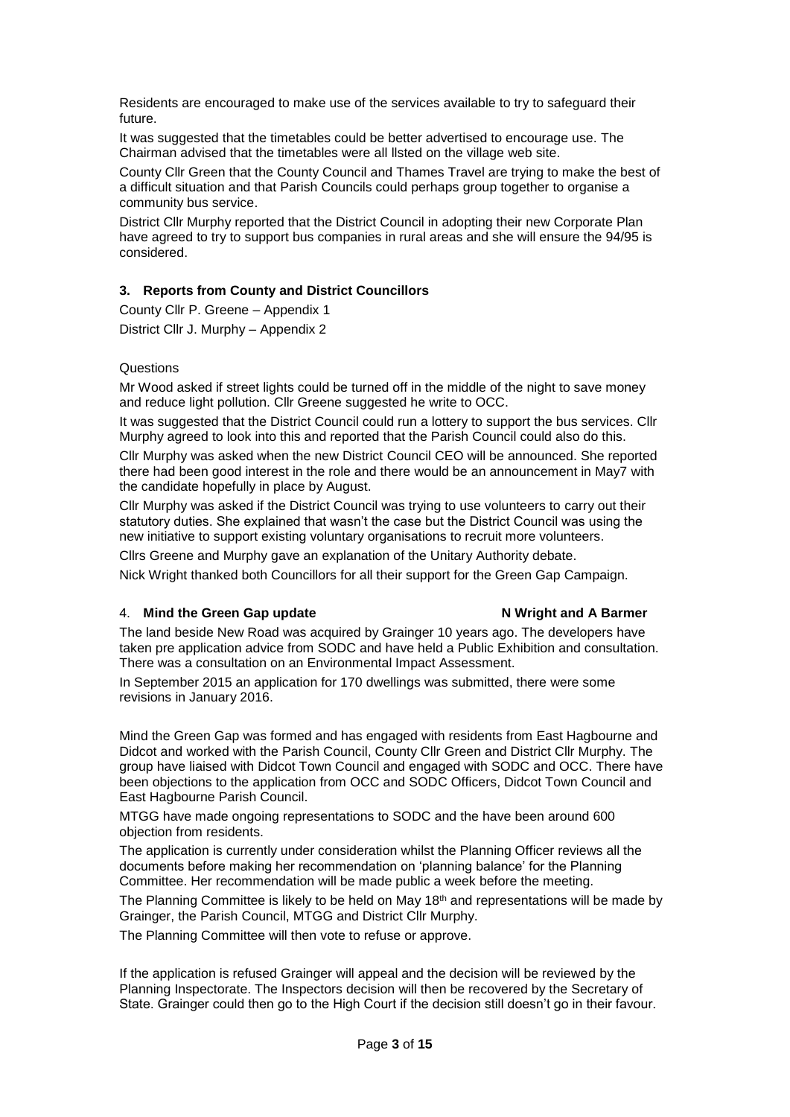Residents are encouraged to make use of the services available to try to safeguard their future.

It was suggested that the timetables could be better advertised to encourage use. The Chairman advised that the timetables were all llsted on the village web site.

County Cllr Green that the County Council and Thames Travel are trying to make the best of a difficult situation and that Parish Councils could perhaps group together to organise a community bus service.

District Cllr Murphy reported that the District Council in adopting their new Corporate Plan have agreed to try to support bus companies in rural areas and she will ensure the 94/95 is considered.

# **3. Reports from County and District Councillors**

County Cllr P. Greene – Appendix 1 District Cllr J. Murphy – Appendix 2

# **Questions**

Mr Wood asked if street lights could be turned off in the middle of the night to save money and reduce light pollution. Cllr Greene suggested he write to OCC.

It was suggested that the District Council could run a lottery to support the bus services. Cllr Murphy agreed to look into this and reported that the Parish Council could also do this.

Cllr Murphy was asked when the new District Council CEO will be announced. She reported there had been good interest in the role and there would be an announcement in May7 with the candidate hopefully in place by August.

Cllr Murphy was asked if the District Council was trying to use volunteers to carry out their statutory duties. She explained that wasn't the case but the District Council was using the new initiative to support existing voluntary organisations to recruit more volunteers.

Cllrs Greene and Murphy gave an explanation of the Unitary Authority debate.

Nick Wright thanked both Councillors for all their support for the Green Gap Campaign.

# 4. **Mind the Green Gap update N Wright and A Barmer**

The land beside New Road was acquired by Grainger 10 years ago. The developers have taken pre application advice from SODC and have held a Public Exhibition and consultation. There was a consultation on an Environmental Impact Assessment.

In September 2015 an application for 170 dwellings was submitted, there were some revisions in January 2016.

Mind the Green Gap was formed and has engaged with residents from East Hagbourne and Didcot and worked with the Parish Council, County Cllr Green and District Cllr Murphy. The group have liaised with Didcot Town Council and engaged with SODC and OCC. There have been objections to the application from OCC and SODC Officers, Didcot Town Council and East Hagbourne Parish Council.

MTGG have made ongoing representations to SODC and the have been around 600 objection from residents.

The application is currently under consideration whilst the Planning Officer reviews all the documents before making her recommendation on 'planning balance' for the Planning Committee. Her recommendation will be made public a week before the meeting.

The Planning Committee is likely to be held on May  $18<sup>th</sup>$  and representations will be made by Grainger, the Parish Council, MTGG and District Cllr Murphy.

The Planning Committee will then vote to refuse or approve.

If the application is refused Grainger will appeal and the decision will be reviewed by the Planning Inspectorate. The Inspectors decision will then be recovered by the Secretary of State. Grainger could then go to the High Court if the decision still doesn't go in their favour.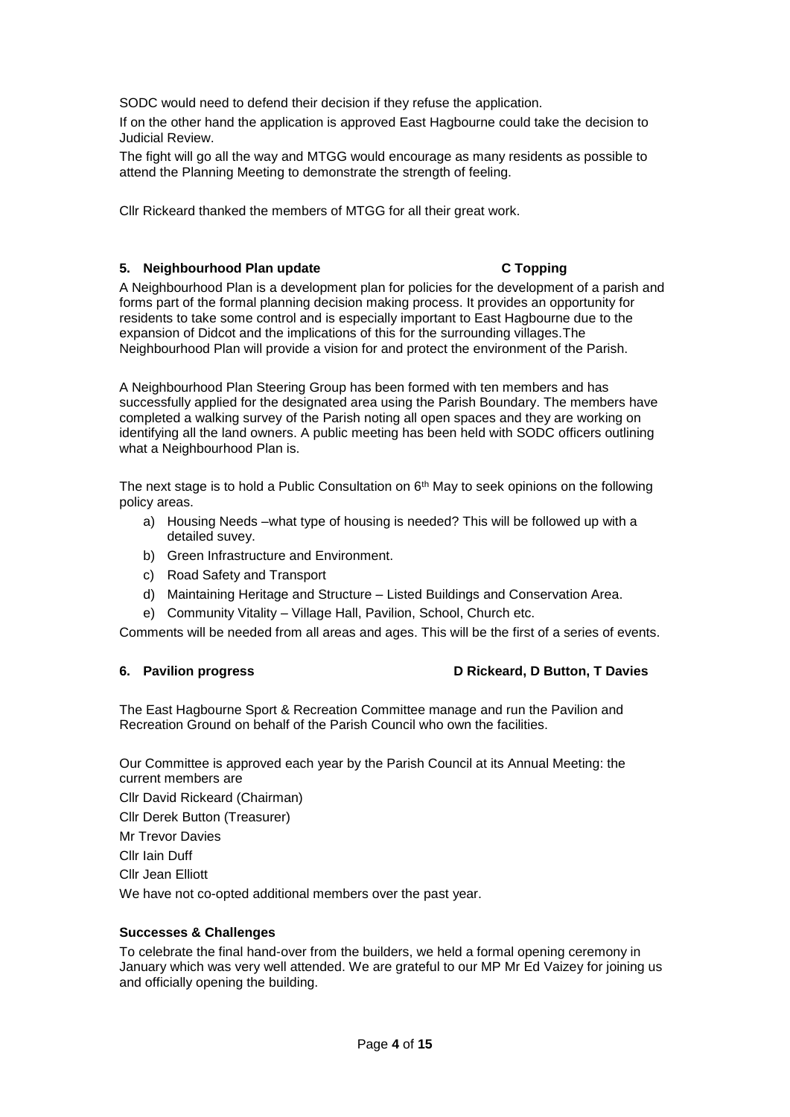SODC would need to defend their decision if they refuse the application.

If on the other hand the application is approved East Hagbourne could take the decision to Judicial Review.

The fight will go all the way and MTGG would encourage as many residents as possible to attend the Planning Meeting to demonstrate the strength of feeling.

Cllr Rickeard thanked the members of MTGG for all their great work.

# **5. Neighbourhood Plan update C Topping**

A Neighbourhood Plan is a development plan for policies for the development of a parish and forms part of the formal planning decision making process. It provides an opportunity for residents to take some control and is especially important to East Hagbourne due to the expansion of Didcot and the implications of this for the surrounding villages.The Neighbourhood Plan will provide a vision for and protect the environment of the Parish.

A Neighbourhood Plan Steering Group has been formed with ten members and has successfully applied for the designated area using the Parish Boundary. The members have completed a walking survey of the Parish noting all open spaces and they are working on identifying all the land owners. A public meeting has been held with SODC officers outlining what a Neighbourhood Plan is.

The next stage is to hold a Public Consultation on  $6<sup>th</sup>$  May to seek opinions on the following policy areas.

- a) Housing Needs –what type of housing is needed? This will be followed up with a detailed suvey.
- b) Green Infrastructure and Environment.
- c) Road Safety and Transport
- d) Maintaining Heritage and Structure Listed Buildings and Conservation Area.
- e) Community Vitality Village Hall, Pavilion, School, Church etc.

Comments will be needed from all areas and ages. This will be the first of a series of events.

## **6. Pavilion progress D Rickeard, D Button, T Davies**

The East Hagbourne Sport & Recreation Committee manage and run the Pavilion and Recreation Ground on behalf of the Parish Council who own the facilities.

Our Committee is approved each year by the Parish Council at its Annual Meeting: the current members are

Cllr David Rickeard (Chairman)

Cllr Derek Button (Treasurer)

Mr Trevor Davies

Cllr Iain Duff

Cllr Jean Elliott

We have not co-opted additional members over the past year.

# **Successes & Challenges**

To celebrate the final hand-over from the builders, we held a formal opening ceremony in January which was very well attended. We are grateful to our MP Mr Ed Vaizey for joining us and officially opening the building.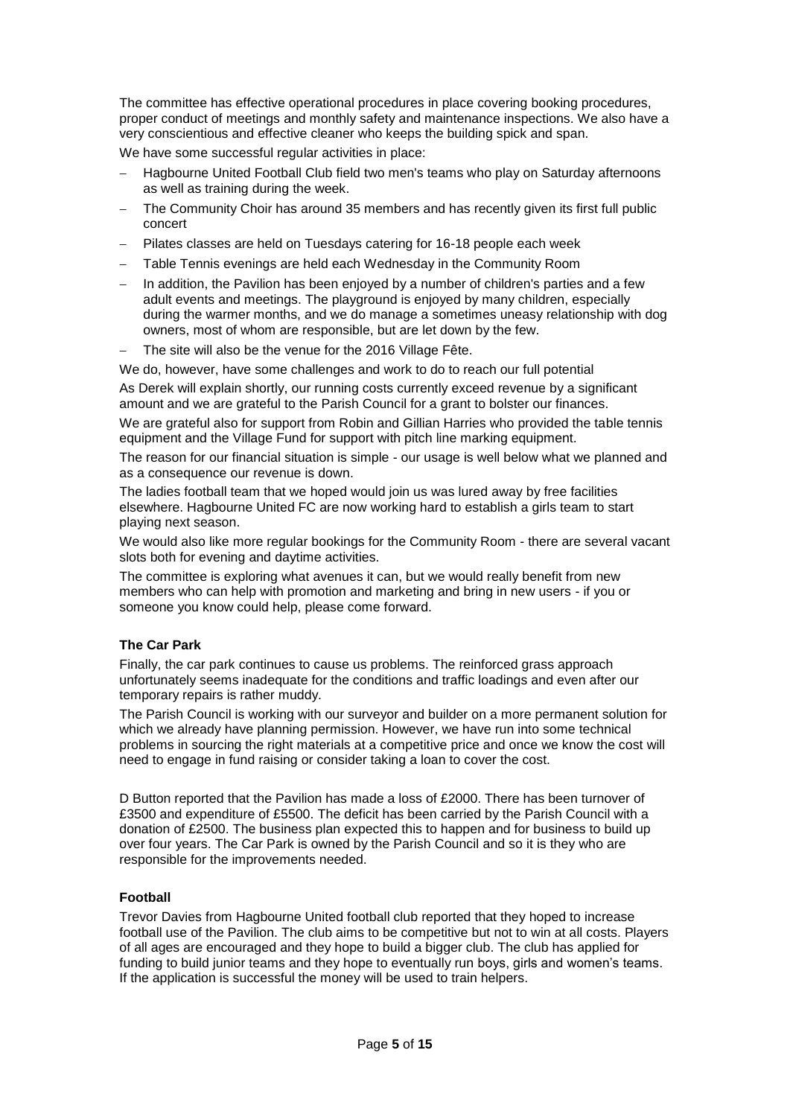The committee has effective operational procedures in place covering booking procedures, proper conduct of meetings and monthly safety and maintenance inspections. We also have a very conscientious and effective cleaner who keeps the building spick and span.

We have some successful regular activities in place:

- Hagbourne United Football Club field two men's teams who play on Saturday afternoons as well as training during the week.
- The Community Choir has around 35 members and has recently given its first full public concert
- Pilates classes are held on Tuesdays catering for 16-18 people each week
- Table Tennis evenings are held each Wednesday in the Community Room
- In addition, the Pavilion has been enjoyed by a number of children's parties and a few adult events and meetings. The playground is enjoyed by many children, especially during the warmer months, and we do manage a sometimes uneasy relationship with dog owners, most of whom are responsible, but are let down by the few.
- The site will also be the venue for the 2016 Village Fête.

We do, however, have some challenges and work to do to reach our full potential

As Derek will explain shortly, our running costs currently exceed revenue by a significant amount and we are grateful to the Parish Council for a grant to bolster our finances.

We are grateful also for support from Robin and Gillian Harries who provided the table tennis equipment and the Village Fund for support with pitch line marking equipment.

The reason for our financial situation is simple - our usage is well below what we planned and as a consequence our revenue is down.

The ladies football team that we hoped would join us was lured away by free facilities elsewhere. Hagbourne United FC are now working hard to establish a girls team to start playing next season.

We would also like more regular bookings for the Community Room - there are several vacant slots both for evening and daytime activities.

The committee is exploring what avenues it can, but we would really benefit from new members who can help with promotion and marketing and bring in new users - if you or someone you know could help, please come forward.

# **The Car Park**

Finally, the car park continues to cause us problems. The reinforced grass approach unfortunately seems inadequate for the conditions and traffic loadings and even after our temporary repairs is rather muddy.

The Parish Council is working with our surveyor and builder on a more permanent solution for which we already have planning permission. However, we have run into some technical problems in sourcing the right materials at a competitive price and once we know the cost will need to engage in fund raising or consider taking a loan to cover the cost.

D Button reported that the Pavilion has made a loss of £2000. There has been turnover of £3500 and expenditure of £5500. The deficit has been carried by the Parish Council with a donation of £2500. The business plan expected this to happen and for business to build up over four years. The Car Park is owned by the Parish Council and so it is they who are responsible for the improvements needed.

# **Football**

Trevor Davies from Hagbourne United football club reported that they hoped to increase football use of the Pavilion. The club aims to be competitive but not to win at all costs. Players of all ages are encouraged and they hope to build a bigger club. The club has applied for funding to build junior teams and they hope to eventually run boys, girls and women's teams. If the application is successful the money will be used to train helpers.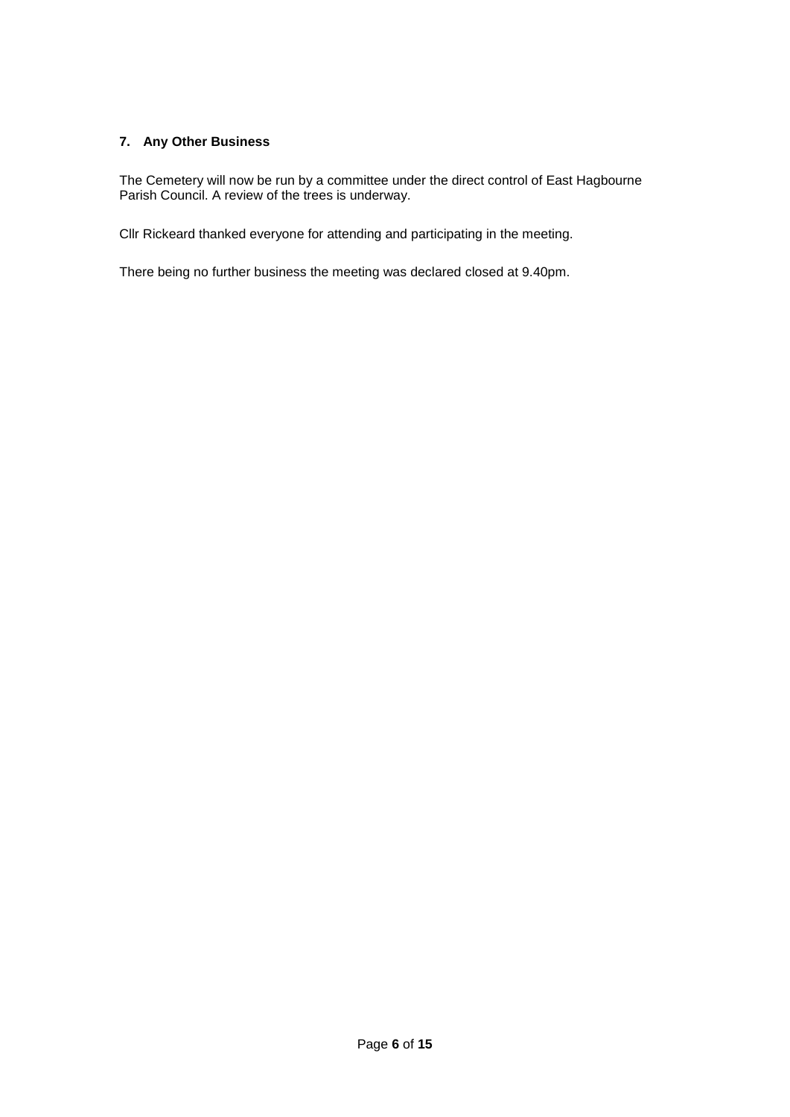# **7. Any Other Business**

The Cemetery will now be run by a committee under the direct control of East Hagbourne Parish Council. A review of the trees is underway.

Cllr Rickeard thanked everyone for attending and participating in the meeting.

There being no further business the meeting was declared closed at 9.40pm.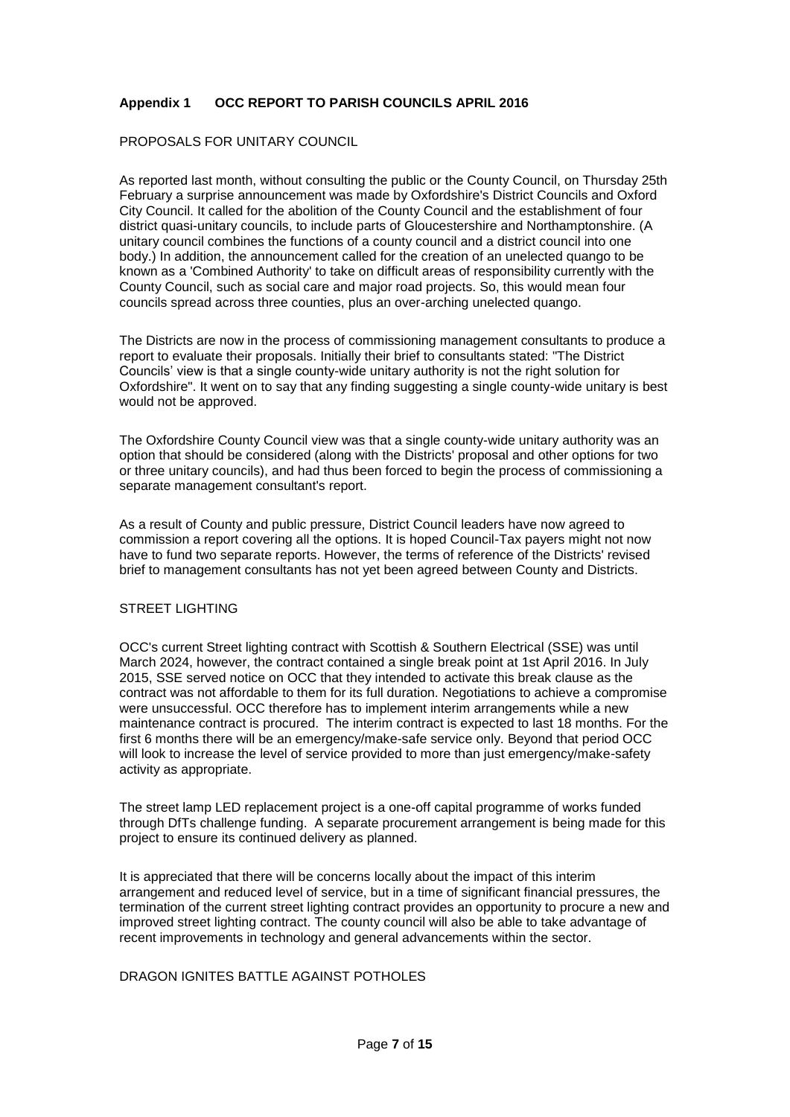# **Appendix 1 OCC REPORT TO PARISH COUNCILS APRIL 2016**

# PROPOSALS FOR UNITARY COUNCIL

As reported last month, without consulting the public or the County Council, on Thursday 25th February a surprise announcement was made by Oxfordshire's District Councils and Oxford City Council. It called for the abolition of the County Council and the establishment of four district quasi-unitary councils, to include parts of Gloucestershire and Northamptonshire. (A unitary council combines the functions of a county council and a district council into one body.) In addition, the announcement called for the creation of an unelected quango to be known as a 'Combined Authority' to take on difficult areas of responsibility currently with the County Council, such as social care and major road projects. So, this would mean four councils spread across three counties, plus an over-arching unelected quango.

The Districts are now in the process of commissioning management consultants to produce a report to evaluate their proposals. Initially their brief to consultants stated: "The District Councils' view is that a single county-wide unitary authority is not the right solution for Oxfordshire". It went on to say that any finding suggesting a single county-wide unitary is best would not be approved.

The Oxfordshire County Council view was that a single county-wide unitary authority was an option that should be considered (along with the Districts' proposal and other options for two or three unitary councils), and had thus been forced to begin the process of commissioning a separate management consultant's report.

As a result of County and public pressure, District Council leaders have now agreed to commission a report covering all the options. It is hoped Council-Tax payers might not now have to fund two separate reports. However, the terms of reference of the Districts' revised brief to management consultants has not yet been agreed between County and Districts.

## STREET LIGHTING

OCC's current Street lighting contract with Scottish & Southern Electrical (SSE) was until March 2024, however, the contract contained a single break point at 1st April 2016. In July 2015, SSE served notice on OCC that they intended to activate this break clause as the contract was not affordable to them for its full duration. Negotiations to achieve a compromise were unsuccessful. OCC therefore has to implement interim arrangements while a new maintenance contract is procured. The interim contract is expected to last 18 months. For the first 6 months there will be an emergency/make-safe service only. Beyond that period OCC will look to increase the level of service provided to more than just emergency/make-safety activity as appropriate.

The street lamp LED replacement project is a one-off capital programme of works funded through DfTs challenge funding. A separate procurement arrangement is being made for this project to ensure its continued delivery as planned.

It is appreciated that there will be concerns locally about the impact of this interim arrangement and reduced level of service, but in a time of significant financial pressures, the termination of the current street lighting contract provides an opportunity to procure a new and improved street lighting contract. The county council will also be able to take advantage of recent improvements in technology and general advancements within the sector.

## DRAGON IGNITES BATTLE AGAINST POTHOLES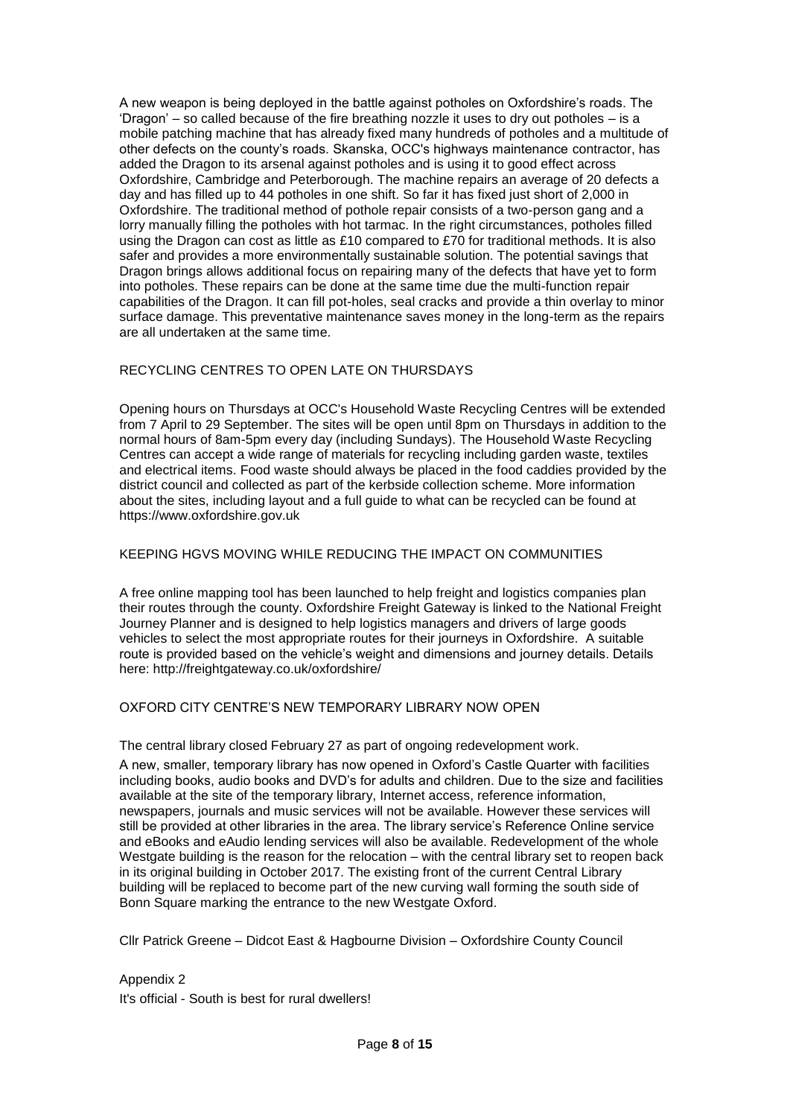A new weapon is being deployed in the battle against potholes on Oxfordshire's roads. The 'Dragon' – so called because of the fire breathing nozzle it uses to dry out potholes – is a mobile patching machine that has already fixed many hundreds of potholes and a multitude of other defects on the county's roads. Skanska, OCC's highways maintenance contractor, has added the Dragon to its arsenal against potholes and is using it to good effect across Oxfordshire, Cambridge and Peterborough. The machine repairs an average of 20 defects a day and has filled up to 44 potholes in one shift. So far it has fixed just short of 2,000 in Oxfordshire. The traditional method of pothole repair consists of a two-person gang and a lorry manually filling the potholes with hot tarmac. In the right circumstances, potholes filled using the Dragon can cost as little as £10 compared to £70 for traditional methods. It is also safer and provides a more environmentally sustainable solution. The potential savings that Dragon brings allows additional focus on repairing many of the defects that have yet to form into potholes. These repairs can be done at the same time due the multi-function repair capabilities of the Dragon. It can fill pot-holes, seal cracks and provide a thin overlay to minor surface damage. This preventative maintenance saves money in the long-term as the repairs are all undertaken at the same time.

# RECYCLING CENTRES TO OPEN LATE ON THURSDAYS

Opening hours on Thursdays at OCC's Household Waste Recycling Centres will be extended from 7 April to 29 September. The sites will be open until 8pm on Thursdays in addition to the normal hours of 8am-5pm every day (including Sundays). The Household Waste Recycling Centres can accept a wide range of materials for recycling including garden waste, textiles and electrical items. Food waste should always be placed in the food caddies provided by the district council and collected as part of the kerbside collection scheme. More information about the sites, including layout and a full guide to what can be recycled can be found at https://www.oxfordshire.gov.uk

# KEEPING HGVS MOVING WHILE REDUCING THE IMPACT ON COMMUNITIES

A free online mapping tool has been launched to help freight and logistics companies plan their routes through the county. Oxfordshire Freight Gateway is linked to the National Freight Journey Planner and is designed to help logistics managers and drivers of large goods vehicles to select the most appropriate routes for their journeys in Oxfordshire. A suitable route is provided based on the vehicle's weight and dimensions and journey details. Details here: http://freightgateway.co.uk/oxfordshire/

# OXFORD CITY CENTRE'S NEW TEMPORARY LIBRARY NOW OPEN

# The central library closed February 27 as part of ongoing redevelopment work.

A new, smaller, temporary library has now opened in Oxford's Castle Quarter with facilities including books, audio books and DVD's for adults and children. Due to the size and facilities available at the site of the temporary library, Internet access, reference information, newspapers, journals and music services will not be available. However these services will still be provided at other libraries in the area. The library service's Reference Online service and eBooks and eAudio lending services will also be available. Redevelopment of the whole Westgate building is the reason for the relocation – with the central library set to reopen back in its original building in October 2017. The existing front of the current Central Library building will be replaced to become part of the new curving wall forming the south side of Bonn Square marking the entrance to the new Westgate Oxford.

Cllr Patrick Greene – Didcot East & Hagbourne Division – Oxfordshire County Council

Appendix 2 It's official - South is best for rural dwellers!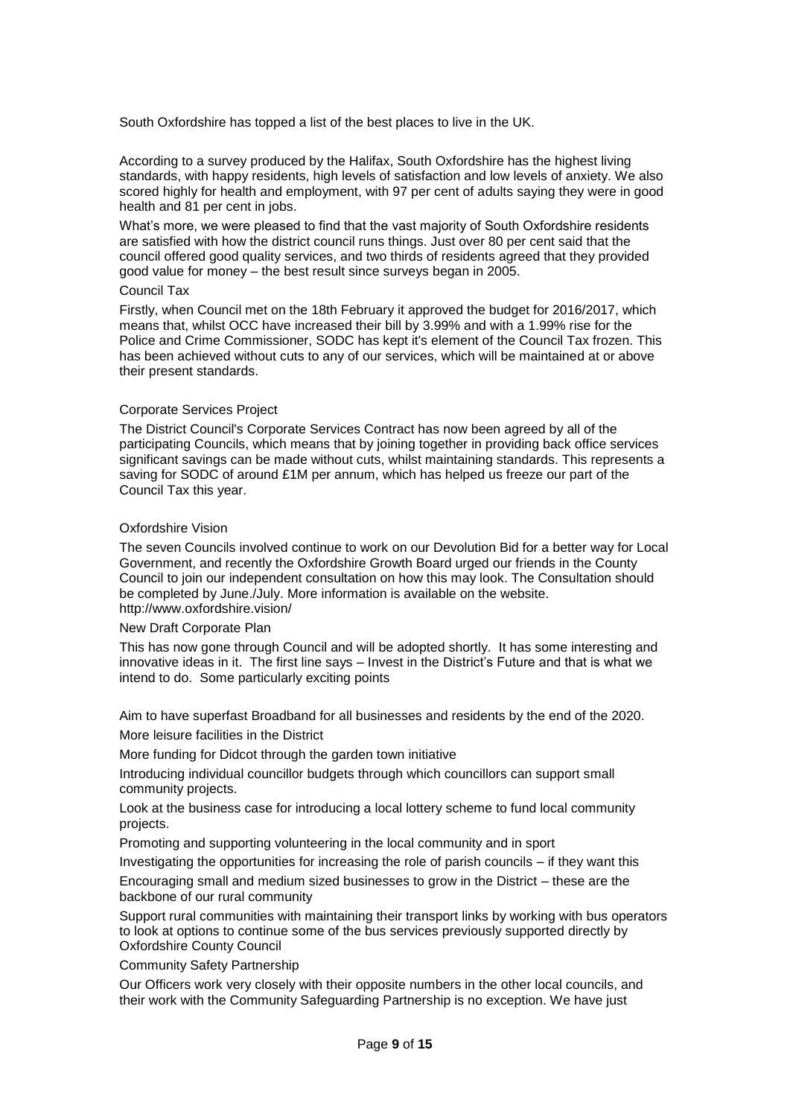South Oxfordshire has topped a list of the best places to live in the UK.

According to a survey produced by the Halifax, South Oxfordshire has the highest living standards, with happy residents, high levels of satisfaction and low levels of anxiety. We also scored highly for health and employment, with 97 per cent of adults saying they were in good health and 81 per cent in jobs.

What's more, we were pleased to find that the vast majority of South Oxfordshire residents are satisfied with how the district council runs things. Just over 80 per cent said that the council offered good quality services, and two thirds of residents agreed that they provided good value for money – the best result since surveys began in 2005.

### Council Tax

Firstly, when Council met on the 18th February it approved the budget for 2016/2017, which means that, whilst OCC have increased their bill by 3.99% and with a 1.99% rise for the Police and Crime Commissioner, SODC has kept it's element of the Council Tax frozen. This has been achieved without cuts to any of our services, which will be maintained at or above their present standards.

### Corporate Services Project

The District Council's Corporate Services Contract has now been agreed by all of the participating Councils, which means that by joining together in providing back office services significant savings can be made without cuts, whilst maintaining standards. This represents a saving for SODC of around £1M per annum, which has helped us freeze our part of the Council Tax this year.

### Oxfordshire Vision

The seven Councils involved continue to work on our Devolution Bid for a better way for Local Government, and recently the Oxfordshire Growth Board urged our friends in the County Council to join our independent consultation on how this may look. The Consultation should be completed by June./July. More information is available on the website. http://www.oxfordshire.vision/

### New Draft Corporate Plan

This has now gone through Council and will be adopted shortly. It has some interesting and innovative ideas in it. The first line says – Invest in the District's Future and that is what we intend to do. Some particularly exciting points

Aim to have superfast Broadband for all businesses and residents by the end of the 2020. More leisure facilities in the District

More funding for Didcot through the garden town initiative

Introducing individual councillor budgets through which councillors can support small community projects.

Look at the business case for introducing a local lottery scheme to fund local community projects.

Promoting and supporting volunteering in the local community and in sport

Investigating the opportunities for increasing the role of parish councils – if they want this

Encouraging small and medium sized businesses to grow in the District – these are the backbone of our rural community

Support rural communities with maintaining their transport links by working with bus operators to look at options to continue some of the bus services previously supported directly by Oxfordshire County Council

Community Safety Partnership

Our Officers work very closely with their opposite numbers in the other local councils, and their work with the Community Safeguarding Partnership is no exception. We have just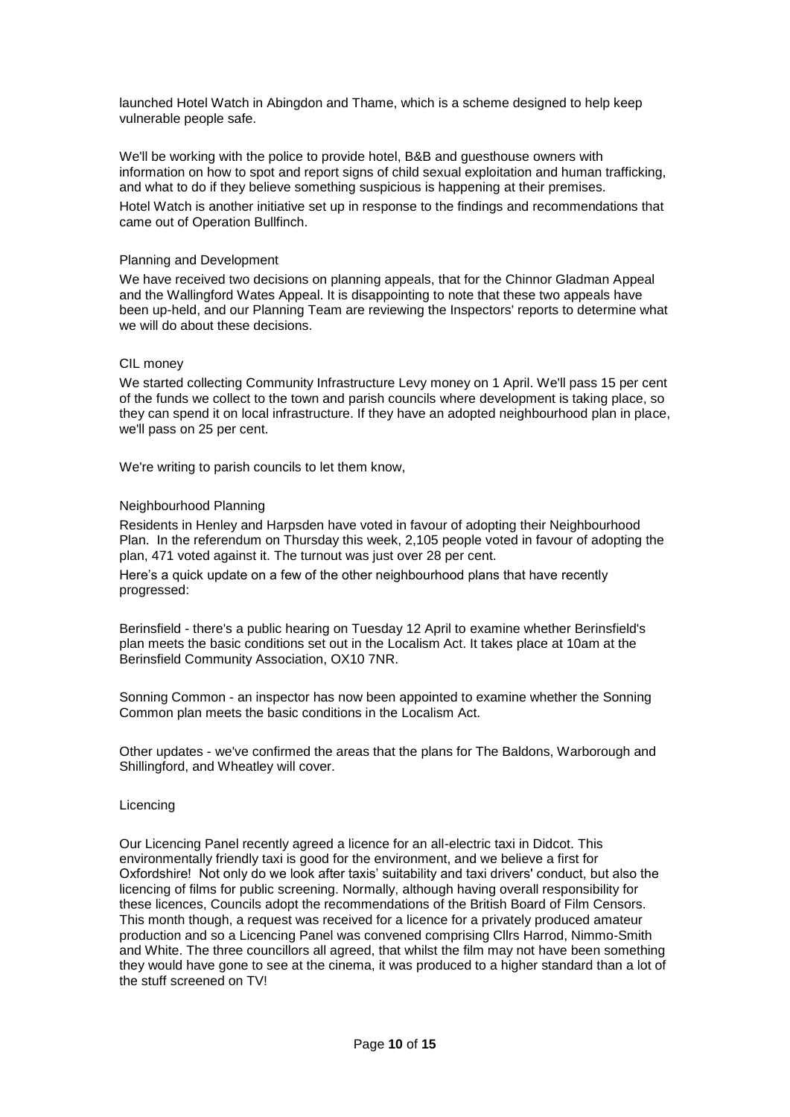launched Hotel Watch in Abingdon and Thame, which is a scheme designed to help keep vulnerable people safe.

We'll be working with the police to provide hotel, B&B and guesthouse owners with information on how to spot and report signs of child sexual exploitation and human trafficking, and what to do if they believe something suspicious is happening at their premises. Hotel Watch is another initiative set up in response to the findings and recommendations that came out of Operation Bullfinch.

## Planning and Development

We have received two decisions on planning appeals, that for the Chinnor Gladman Appeal and the Wallingford Wates Appeal. It is disappointing to note that these two appeals have been up-held, and our Planning Team are reviewing the Inspectors' reports to determine what we will do about these decisions.

# CIL money

We started collecting Community Infrastructure Levy money on 1 April. We'll pass 15 per cent of the funds we collect to the town and parish councils where development is taking place, so they can spend it on local infrastructure. If they have an adopted neighbourhood plan in place, we'll pass on 25 per cent.

We're writing to parish councils to let them know,

# Neighbourhood Planning

Residents in Henley and Harpsden have voted in favour of adopting their Neighbourhood Plan. In the referendum on Thursday this week, 2,105 people voted in favour of adopting the plan, 471 voted against it. The turnout was just over 28 per cent.

Here's a quick update on a few of the other neighbourhood plans that have recently progressed:

Berinsfield - there's a public hearing on Tuesday 12 April to examine whether Berinsfield's plan meets the basic conditions set out in the Localism Act. It takes place at 10am at the Berinsfield Community Association, OX10 7NR.

Sonning Common - an inspector has now been appointed to examine whether the Sonning Common plan meets the basic conditions in the Localism Act.

Other updates - we've confirmed the areas that the plans for The Baldons, Warborough and Shillingford, and Wheatley will cover.

## Licencing

Our Licencing Panel recently agreed a licence for an all-electric taxi in Didcot. This environmentally friendly taxi is good for the environment, and we believe a first for Oxfordshire! Not only do we look after taxis' suitability and taxi drivers' conduct, but also the licencing of films for public screening. Normally, although having overall responsibility for these licences, Councils adopt the recommendations of the British Board of Film Censors. This month though, a request was received for a licence for a privately produced amateur production and so a Licencing Panel was convened comprising Cllrs Harrod, Nimmo-Smith and White. The three councillors all agreed, that whilst the film may not have been something they would have gone to see at the cinema, it was produced to a higher standard than a lot of the stuff screened on TV!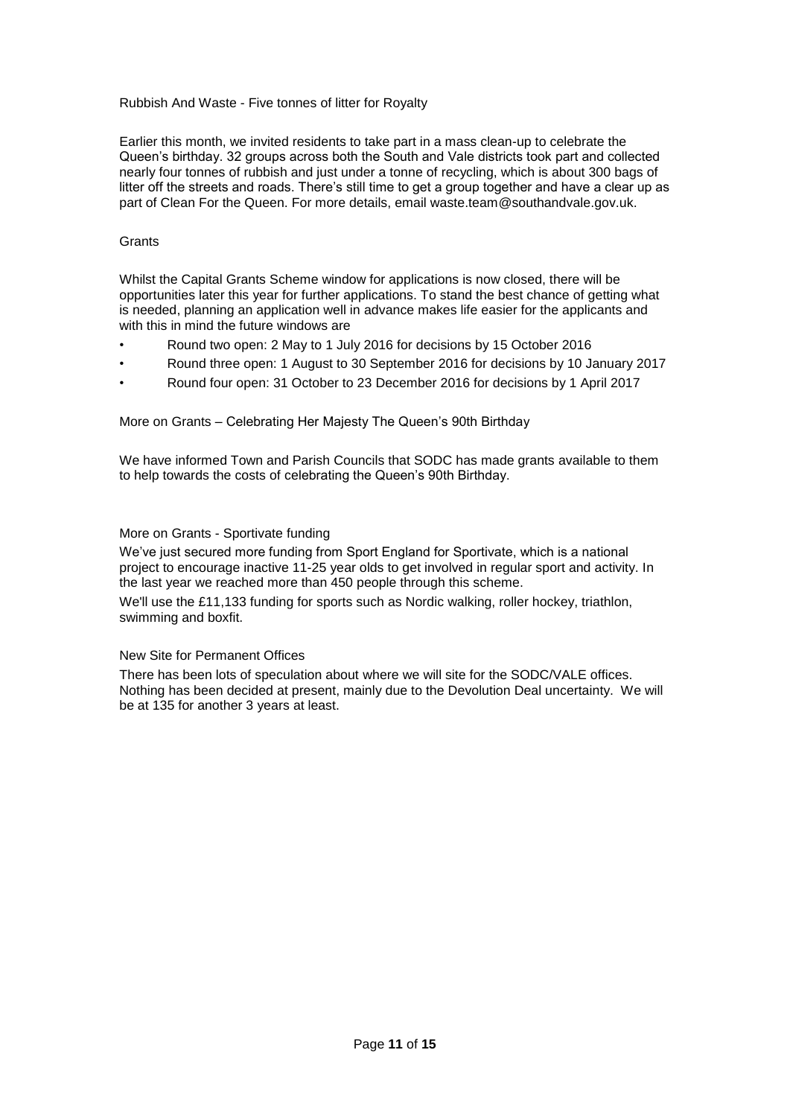# Rubbish And Waste - Five tonnes of litter for Royalty

Earlier this month, we invited residents to take part in a mass clean-up to celebrate the Queen's birthday. 32 groups across both the South and Vale districts took part and collected nearly four tonnes of rubbish and just under a tonne of recycling, which is about 300 bags of litter off the streets and roads. There's still time to get a group together and have a clear up as part of Clean For the Queen. For more details, email waste.team@southandvale.gov.uk.

## **Grants**

Whilst the Capital Grants Scheme window for applications is now closed, there will be opportunities later this year for further applications. To stand the best chance of getting what is needed, planning an application well in advance makes life easier for the applicants and with this in mind the future windows are

- Round two open: 2 May to 1 July 2016 for decisions by 15 October 2016
- Round three open: 1 August to 30 September 2016 for decisions by 10 January 2017
- Round four open: 31 October to 23 December 2016 for decisions by 1 April 2017

More on Grants – Celebrating Her Majesty The Queen's 90th Birthday

We have informed Town and Parish Councils that SODC has made grants available to them to help towards the costs of celebrating the Queen's 90th Birthday.

# More on Grants - Sportivate funding

We've just secured more funding from Sport England for Sportivate, which is a national project to encourage inactive 11-25 year olds to get involved in regular sport and activity. In the last year we reached more than 450 people through this scheme.

We'll use the £11,133 funding for sports such as Nordic walking, roller hockey, triathlon, swimming and boxfit.

## New Site for Permanent Offices

There has been lots of speculation about where we will site for the SODC/VALE offices. Nothing has been decided at present, mainly due to the Devolution Deal uncertainty. We will be at 135 for another 3 years at least.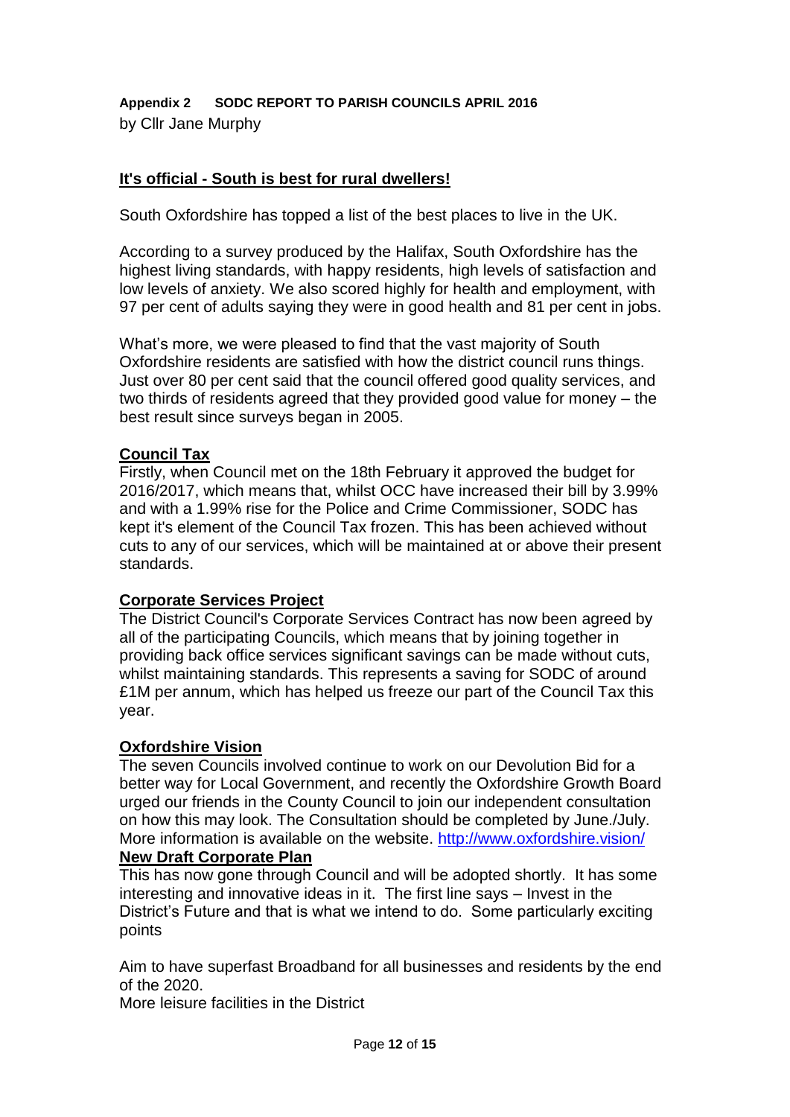**Appendix 2 SODC REPORT TO PARISH COUNCILS APRIL 2016** by Cllr Jane Murphy

# **It's official - South is best for rural dwellers!**

South Oxfordshire has topped a list of the best places to live in the UK.

According to a survey produced by the Halifax, South Oxfordshire has the highest living standards, with happy residents, high levels of satisfaction and low levels of anxiety. We also scored highly for health and employment, with 97 per cent of adults saying they were in good health and 81 per cent in jobs.

What's more, we were pleased to find that the vast majority of South Oxfordshire residents are satisfied with how the district council runs things. Just over 80 per cent said that the council offered good quality services, and two thirds of residents agreed that they provided good value for money – the best result since surveys began in 2005.

# **Council Tax**

Firstly, when Council met on the 18th February it approved the budget for 2016/2017, which means that, whilst OCC have increased their bill by 3.99% and with a 1.99% rise for the Police and Crime Commissioner, SODC has kept it's element of the Council Tax frozen. This has been achieved without cuts to any of our services, which will be maintained at or above their present standards.

# **Corporate Services Project**

The District Council's Corporate Services Contract has now been agreed by all of the participating Councils, which means that by joining together in providing back office services significant savings can be made without cuts, whilst maintaining standards. This represents a saving for SODC of around £1M per annum, which has helped us freeze our part of the Council Tax this year.

# **Oxfordshire Vision**

The seven Councils involved continue to work on our Devolution Bid for a better way for Local Government, and recently the Oxfordshire Growth Board urged our friends in the County Council to join our independent consultation on how this may look. The Consultation should be completed by June./July. More information is available on the website.<http://www.oxfordshire.vision/> **New Draft Corporate Plan**

This has now gone through Council and will be adopted shortly. It has some interesting and innovative ideas in it. The first line says – Invest in the District's Future and that is what we intend to do. Some particularly exciting points

Aim to have superfast Broadband for all businesses and residents by the end of the 2020.

More leisure facilities in the District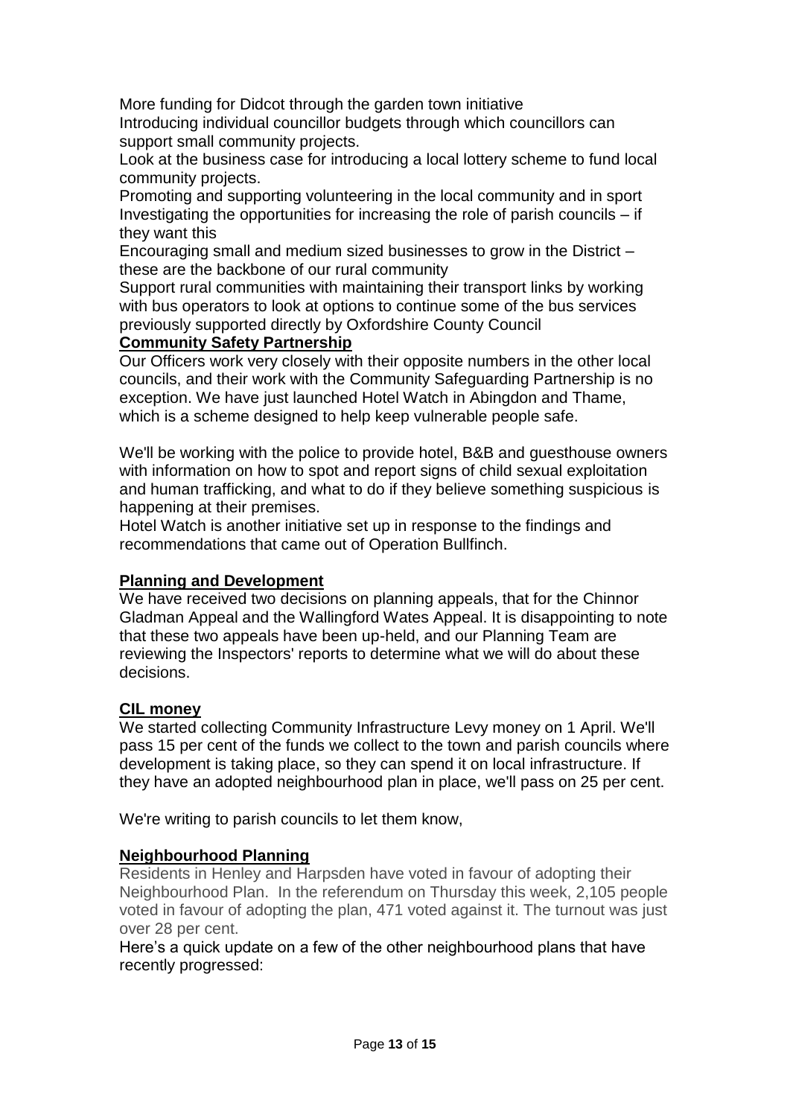More funding for Didcot through the garden town initiative

Introducing individual councillor budgets through which councillors can support small community projects.

Look at the business case for introducing a local lottery scheme to fund local community projects.

Promoting and supporting volunteering in the local community and in sport Investigating the opportunities for increasing the role of parish councils – if they want this

Encouraging small and medium sized businesses to grow in the District – these are the backbone of our rural community

Support rural communities with maintaining their transport links by working with bus operators to look at options to continue some of the bus services previously supported directly by Oxfordshire County Council

# **Community Safety Partnership**

Our Officers work very closely with their opposite numbers in the other local councils, and their work with the Community Safeguarding Partnership is no exception. We have just launched Hotel Watch in Abingdon and Thame, which is a scheme designed to help keep vulnerable people safe.

We'll be working with the police to provide hotel, B&B and guesthouse owners with information on how to spot and report signs of child sexual exploitation and human trafficking, and what to do if they believe something suspicious is happening at their premises.

Hotel Watch is another initiative set up in response to the findings and recommendations that came out of Operation Bullfinch.

# **Planning and Development**

We have received two decisions on planning appeals, that for the Chinnor Gladman Appeal and the Wallingford Wates Appeal. It is disappointing to note that these two appeals have been up-held, and our Planning Team are reviewing the Inspectors' reports to determine what we will do about these decisions.

# **CIL money**

We started collecting Community Infrastructure Levy money on 1 April. We'll pass 15 per cent of the funds we collect to the town and parish councils where development is taking place, so they can spend it on local infrastructure. If they have an adopted neighbourhood plan in place, we'll pass on 25 per cent.

We're writing to parish councils to let them know,

# **Neighbourhood Planning**

Residents in Henley and Harpsden have voted in favour of adopting their Neighbourhood Plan. In the referendum on Thursday this week, 2,105 people voted in favour of adopting the plan, 471 voted against it. The turnout was just over 28 per cent.

Here's a quick update on a few of the other neighbourhood plans that have recently progressed: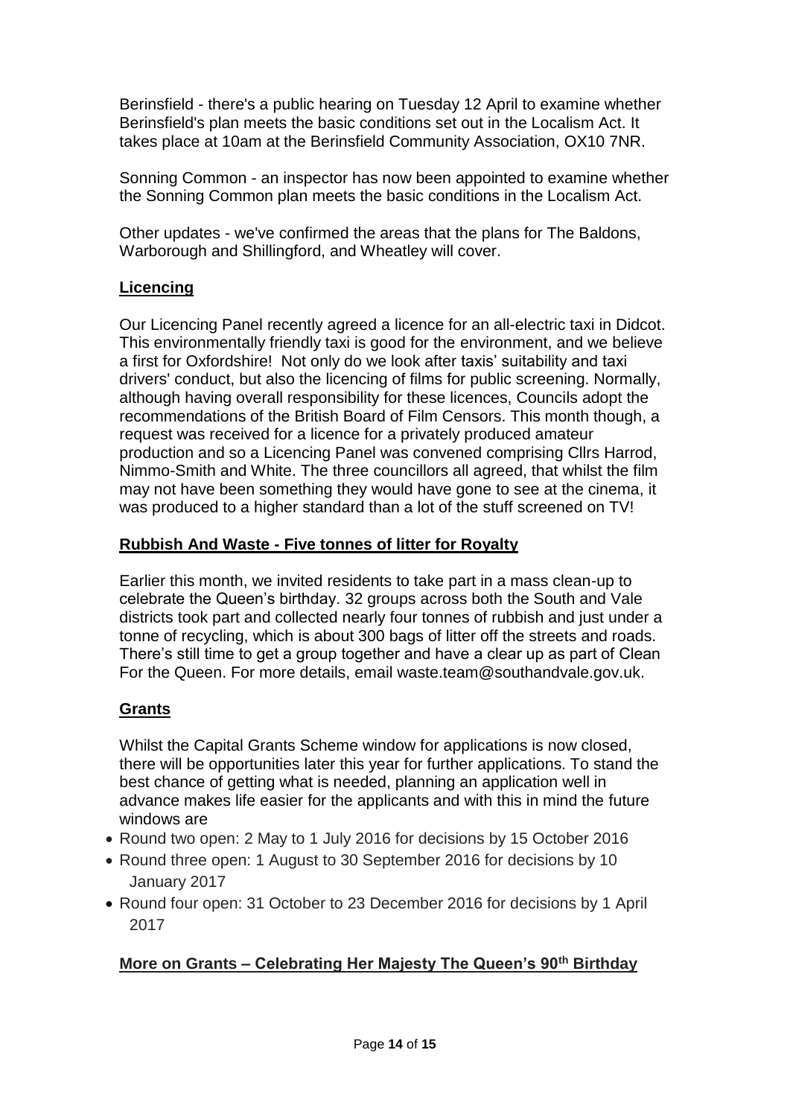Berinsfield - there's a public hearing on Tuesday 12 April to examine whether Berinsfield's plan meets the basic conditions set out in the Localism Act. It takes place at 10am at the Berinsfield Community Association, OX10 7NR.

Sonning Common - an inspector has now been appointed to examine whether the Sonning Common plan meets the basic conditions in the Localism Act.

Other updates - we've confirmed the areas that the plans for The Baldons, Warborough and Shillingford, and Wheatley will cover.

# **Licencing**

Our Licencing Panel recently agreed a licence for an all-electric taxi in Didcot. This environmentally friendly taxi is good for the environment, and we believe a first for Oxfordshire! Not only do we look after taxis' suitability and taxi drivers' conduct, but also the licencing of films for public screening. Normally, although having overall responsibility for these licences, Councils adopt the recommendations of the British Board of Film Censors. This month though, a request was received for a licence for a privately produced amateur production and so a Licencing Panel was convened comprising Cllrs Harrod, Nimmo-Smith and White. The three councillors all agreed, that whilst the film may not have been something they would have gone to see at the cinema, it was produced to a higher standard than a lot of the stuff screened on TV!

# **Rubbish And Waste - Five tonnes of litter for Royalty**

Earlier this month, we invited residents to take part in a mass clean-up to celebrate the Queen's birthday. 32 groups across both the South and Vale districts took part and collected nearly four tonnes of rubbish and just under a tonne of recycling, which is about 300 bags of litter off the streets and roads. There's still time to get a group together and have a clear up as part of Clean For the Queen. For more details, email waste.team@southandvale.gov.uk.

# **Grants**

Whilst the Capital Grants Scheme window for applications is now closed, there will be opportunities later this year for further applications. To stand the best chance of getting what is needed, planning an application well in advance makes life easier for the applicants and with this in mind the future windows are

- Round two open: 2 May to 1 July 2016 for decisions by 15 October 2016
- Round three open: 1 August to 30 September 2016 for decisions by 10 January 2017
- Round four open: 31 October to 23 December 2016 for decisions by 1 April 2017

# **More on Grants – Celebrating Her Majesty The Queen's 90th Birthday**